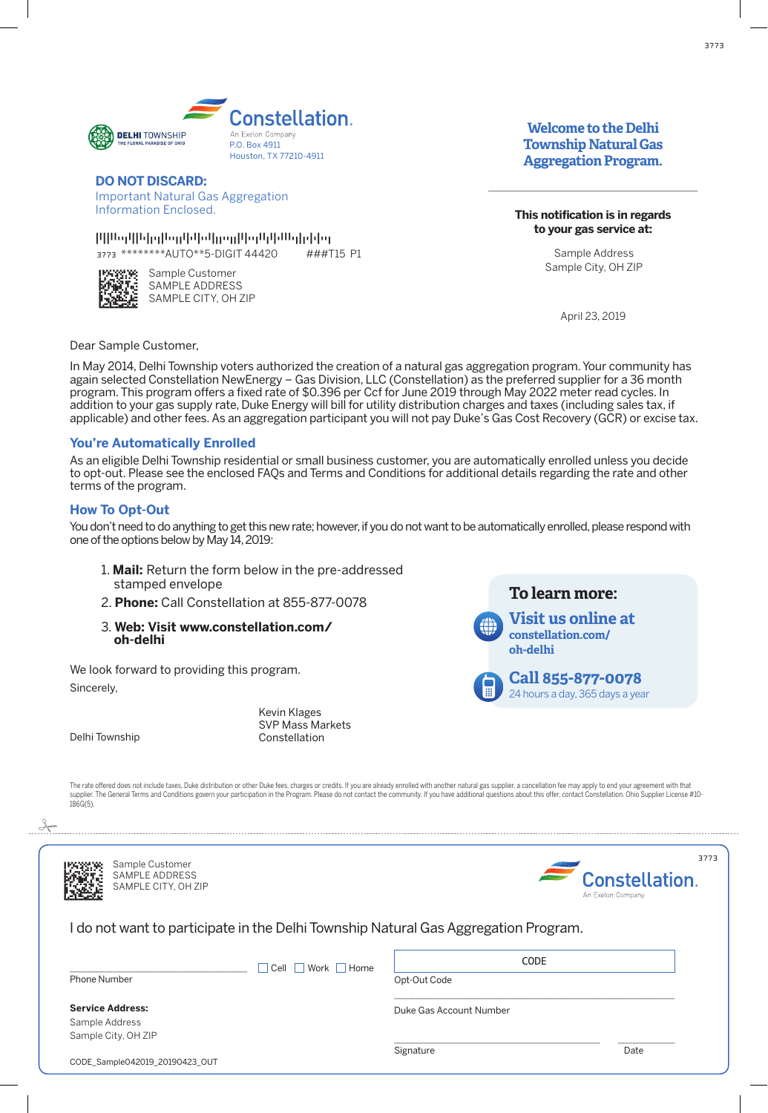

## **DO NOT DISCARD:** po noi biogrind.<br>International traditional **Example 1**<br>Important Natural Gas Aggregation

 .desolcnE noitamrofnI Information Enclosed.

.<br>.desolcometricales in the control of the second second in the second second second in the second second in the 3773 \*\*\*\*\*\*\*\*AUTO\*\*5-DIGIT 44420 FAFFAATTDAFFATFDTDFATTDDAFTAFTTAFDDTTDDFAFTTDAADAFTAAATDFDTFTFTTD ###T15 P1



Sample Customer SAMPLE ADDRESS SAMPLE CITY, OH ZIP

# **income to the Delhi**<br>-**Township Natural Gas Aggregation Program.**

**This notification is in regards**  ${\bf t}$ o your gas service a ${\bf t}$ :

> Sample Address Sample City, OH ZIP

> > April 23, 2019

Dear Sample Customer,

In May 2014, Delhi Township voters authorized the creation of a natural gas aggregation program. Your community has again selected Constellation NewEnergy – Gas Division, LLC (Constellation) as the preferred supplier for a 36 month program. This program offers a fixed rate of \$0.396 per Ccf for June 2019 through May 2022 meter read cycles. In addition to your gas supply rate, Duke Energy will bill for utility distribution charges and taxes (including sales tax, if abdition to your gas supply rate; Bake Energy will bill for alling distribution onlinges and taxes (including sales tax), if<br>applicable) and other fees. As an aggregation participant you will not pay Duke's Gas Cost Recove

# **You're Automatically Enrolled**

As an eligible Delhi Township residential or small business customer, you are automatically enrolled unless you decide to opt-out. Please see the enclosed FAQs and Terms and Conditions for additional details regarding the rate and other to opt out. I lodge see the ehologed integrand lerms and conditions for ddaitional details regarding the rate and other<br>terms of the program.

# **How To Opt-Out**

You don't need to do anything to get this new rate; however, if you do not want to be automatically enrolled, please respond with for domined to do any ming to get this new rate, neweren, in you do not want to be adtennatediny on oned, prease respond with<br>one of the options below by May 14, 2019:

- 1. Mail: Return the form below in the pre-addressed **Example department of the service of the conduct of the service of the service of the service of the number of the new stamped envelope**
- 2. **Phone:** Call Constellation at 855-877-0078
- 3. Web: Visit www.constellation.com/<br>oh-delhi .2 **:enohP** ta noitalletsnoC llaC 8700-778-558 .3 **b** *moc.* **which is in the M indian set of**  $\mathbf{h}$  **: which is in the M indian set of**  $\mathbf{h}$  **:**

We look forward to providing this program. Sincerely,

Kevin Klages stemmingee<br>SVP Mass Markets Delhi Township **in the contract of the Delhi** Township Constellation



raey a syad 563 ,yad a sruoh 42

The rate offered does not include taxes, Duke distribution or other Duke fees, charges or credits. If you are already enrolled with another natural gas supplier, a cancellation fee may apply to end your agreement with that supplier. The General Terms and Conditions govern your participation in the Program. Please do not contact the community. If you have additional questions about this offer, contact Constellation. Ohio Supplier License #10--------<br>186G(5).  $c_1$  .noitalletsnow  $c_1$  . The tunummoc entropy finallets noitable  $\alpha$  .  $\alpha$ 



APRESSI<br>Manno<br>Homes



\_\_\_\_\_\_\_\_\_\_\_\_\_\_\_\_\_\_\_\_\_\_\_\_\_\_\_\_\_\_\_\_\_\_\_\_\_\_\_\_\_\_\_\_\_\_\_\_\_\_\_\_\_\_\_\_\_\_\_\_\_\_\_\_\_\_\_\_\_\_\_\_\_\_\_\_\_\_\_

CODE

I do not want to participate in the Delhi Township Natural Gas Aggregation Program. .margorP noitagerga saG larutan pihsnyotagerga saG larutan pihsnyotagerga saG larutan pihsnyotagerga saG larut<br>Nam ton od Indian pihsnyotagerga saG larutan pihsnyotagerga saG larutan pihsnyotagerga saG larutan pihsnyotage

Phone Number Opt-Out Code  $\overline{\phantom{a}}$ 

\_\_\_\_\_\_\_\_\_\_\_\_\_\_\_\_\_\_\_\_\_\_\_\_\_\_\_\_\_\_\_\_\_\_\_\_\_\_\_\_\_\_\_\_\_\_\_\_\_\_ Cell Work Home \_\_\_\_\_\_\_\_\_\_\_\_\_\_\_\_\_\_\_\_\_\_\_\_\_\_\_\_\_\_\_\_\_\_\_\_\_\_\_\_\_\_\_\_\_\_\_\_\_\_ Cell Work Home Phone Number Opt-Out Code

Duke Gas Account Number \_\_\_\_\_\_\_\_\_\_\_\_\_\_\_\_\_\_\_\_\_\_\_\_\_\_\_\_\_\_\_\_\_\_\_\_\_\_\_\_\_\_\_\_\_\_\_\_\_\_\_\_\_\_\_\_\_\_\_\_\_\_\_\_\_\_\_\_\_\_\_\_\_\_\_\_\_\_\_ Phone Number Opt-Out Code

 $S$ ervice Address: Sample Address sample Address<br>Sample City, OH ZIP Sample City, OH ZIP

.<br>CODE\_Sample042019\_20190423\_OUT

Sample Customer Sample Customer<br>SAMPLE ADDRESS ANNI EL ADDINESS<br>¡AMPLE CITY, OH ZIP

AMPLE CITY, OH ZIP

SAMPLE CITY, OH ZIP

\_\_\_\_\_\_\_\_\_\_\_\_\_\_\_\_\_\_\_\_\_\_\_\_\_\_\_\_\_\_\_\_\_\_\_\_\_\_\_\_\_\_\_\_\_\_\_\_\_\_\_\_\_\_\_\_\_\_ \_\_\_\_\_\_\_\_\_\_\_\_\_\_\_\_ Signature Date \_\_\_\_\_\_\_\_\_\_\_\_\_\_\_\_\_\_\_\_\_\_\_\_\_\_\_\_\_\_\_\_\_\_\_\_\_\_\_\_\_\_\_\_\_\_\_\_\_\_\_\_\_\_\_\_\_\_ \_\_\_\_\_\_\_\_\_\_\_\_\_\_\_\_ Signature Date  $\Box$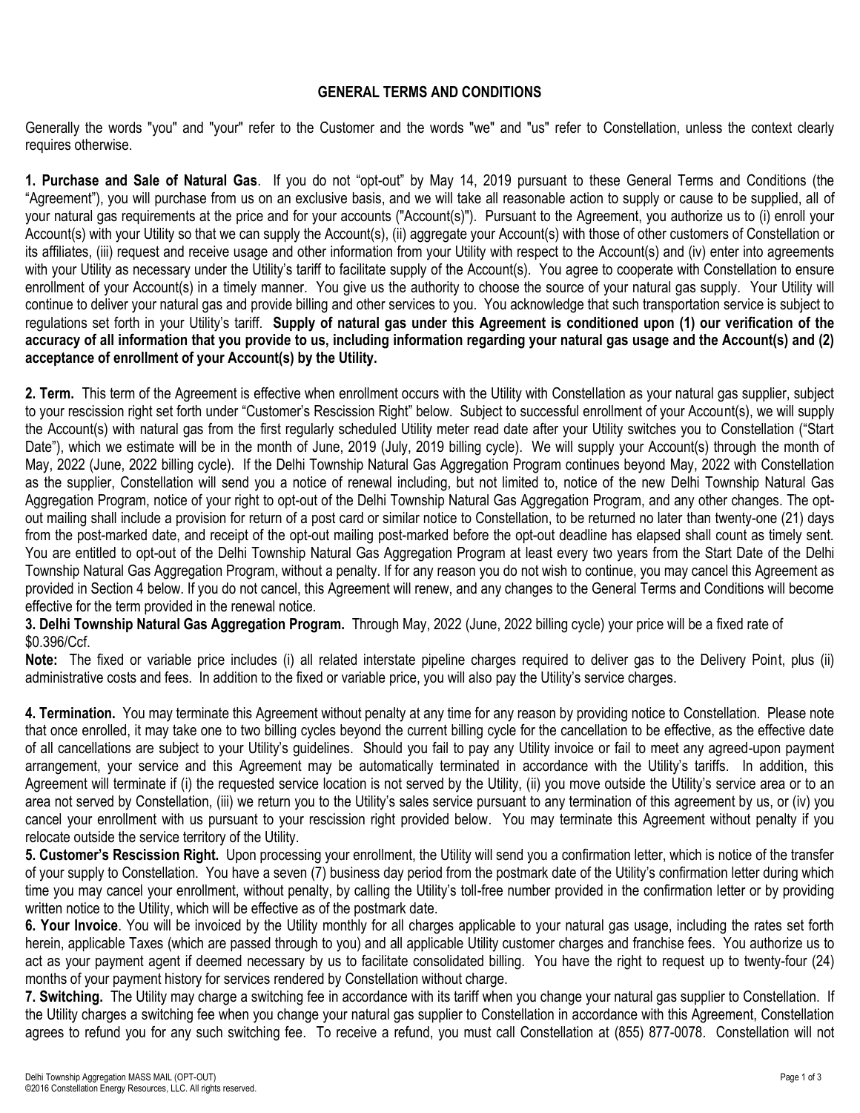# **GENERAL TERMS AND CONDITIONS**

Generally the words "you" and "your" refer to the Customer and the words "we" and "us" refer to Constellation, unless the context clearly requires otherwise.

**1. Purchase and Sale of Natural Gas**. If you do not "opt-out" by May 14, 2019 pursuant to these General Terms and Conditions (the "Agreement"), you will purchase from us on an exclusive basis, and we will take all reasonable action to supply or cause to be supplied, all of your natural gas requirements at the price and for your accounts ("Account(s)"). Pursuant to the Agreement, you authorize us to (i) enroll your Account(s) with your Utility so that we can supply the Account(s), (ii) aggregate your Account(s) with those of other customers of Constellation or its affiliates, (iii) request and receive usage and other information from your Utility with respect to the Account(s) and (iv) enter into agreements with your Utility as necessary under the Utility's tariff to facilitate supply of the Account(s). You agree to cooperate with Constellation to ensure enrollment of your Account(s) in a timely manner. You give us the authority to choose the source of your natural gas supply. Your Utility will continue to deliver your natural gas and provide billing and other services to you. You acknowledge that such transportation service is subject to regulations set forth in your Utility's tariff. **Supply of natural gas under this Agreement is conditioned upon (1) our verification of the accuracy of all information that you provide to us, including information regarding your natural gas usage and the Account(s) and (2) acceptance of enrollment of your Account(s) by the Utility.** 

**2. Term.** This term of the Agreement is effective when enrollment occurs with the Utility with Constellation as your natural gas supplier, subject to your rescission right set forth under "Customer's Rescission Right" below. Subject to successful enrollment of your Account(s), we will supply the Account(s) with natural gas from the first regularly scheduled Utility meter read date after your Utility switches you to Constellation ("Start Date"), which we estimate will be in the month of June, 2019 (July, 2019 billing cycle). We will supply your Account(s) through the month of May, 2022 (June, 2022 billing cycle). If the Delhi Township Natural Gas Aggregation Program continues beyond May, 2022 with Constellation as the supplier, Constellation will send you a notice of renewal including, but not limited to, notice of the new Delhi Township Natural Gas Aggregation Program, notice of your right to opt-out of the Delhi Township Natural Gas Aggregation Program, and any other changes. The optout mailing shall include a provision for return of a post card or similar notice to Constellation, to be returned no later than twenty-one (21) days from the post-marked date, and receipt of the opt-out mailing post-marked before the opt-out deadline has elapsed shall count as timely sent. You are entitled to opt-out of the Delhi Township Natural Gas Aggregation Program at least every two years from the Start Date of the Delhi Township Natural Gas Aggregation Program, without a penalty. If for any reason you do not wish to continue, you may cancel this Agreement as provided in Section 4 below. If you do not cancel, this Agreement will renew, and any changes to the General Terms and Conditions will become effective for the term provided in the renewal notice.

**3. Delhi Township Natural Gas Aggregation Program.** Through May, 2022 (June, 2022 billing cycle) your price will be a fixed rate of \$0.396/Ccf.

**Note:** The fixed or variable price includes (i) all related interstate pipeline charges required to deliver gas to the Delivery Point, plus (ii) administrative costs and fees. In addition to the fixed or variable price, you will also pay the Utility's service charges.

**4. Termination.** You may terminate this Agreement without penalty at any time for any reason by providing notice to Constellation. Please note that once enrolled, it may take one to two billing cycles beyond the current billing cycle for the cancellation to be effective, as the effective date of all cancellations are subject to your Utility's guidelines. Should you fail to pay any Utility invoice or fail to meet any agreed-upon payment arrangement, your service and this Agreement may be automatically terminated in accordance with the Utility's tariffs. In addition, this Agreement will terminate if (i) the requested service location is not served by the Utility, (ii) you move outside the Utility's service area or to an area not served by Constellation, (iii) we return you to the Utility's sales service pursuant to any termination of this agreement by us, or (iv) you cancel your enrollment with us pursuant to your rescission right provided below. You may terminate this Agreement without penalty if you relocate outside the service territory of the Utility.

**5. Customer's Rescission Right.** Upon processing your enrollment, the Utility will send you a confirmation letter, which is notice of the transfer of your supply to Constellation. You have a seven (7) business day period from the postmark date of the Utility's confirmation letter during which time you may cancel your enrollment, without penalty, by calling the Utility's toll-free number provided in the confirmation letter or by providing written notice to the Utility, which will be effective as of the postmark date.

**6. Your Invoice**. You will be invoiced by the Utility monthly for all charges applicable to your natural gas usage, including the rates set forth herein, applicable Taxes (which are passed through to you) and all applicable Utility customer charges and franchise fees. You authorize us to act as your payment agent if deemed necessary by us to facilitate consolidated billing. You have the right to request up to twenty-four (24) months of your payment history for services rendered by Constellation without charge.

**7. Switching.** The Utility may charge a switching fee in accordance with its tariff when you change your natural gas supplier to Constellation. If the Utility charges a switching fee when you change your natural gas supplier to Constellation in accordance with this Agreement, Constellation agrees to refund you for any such switching fee. To receive a refund, you must call Constellation at (855) 877-0078. Constellation will not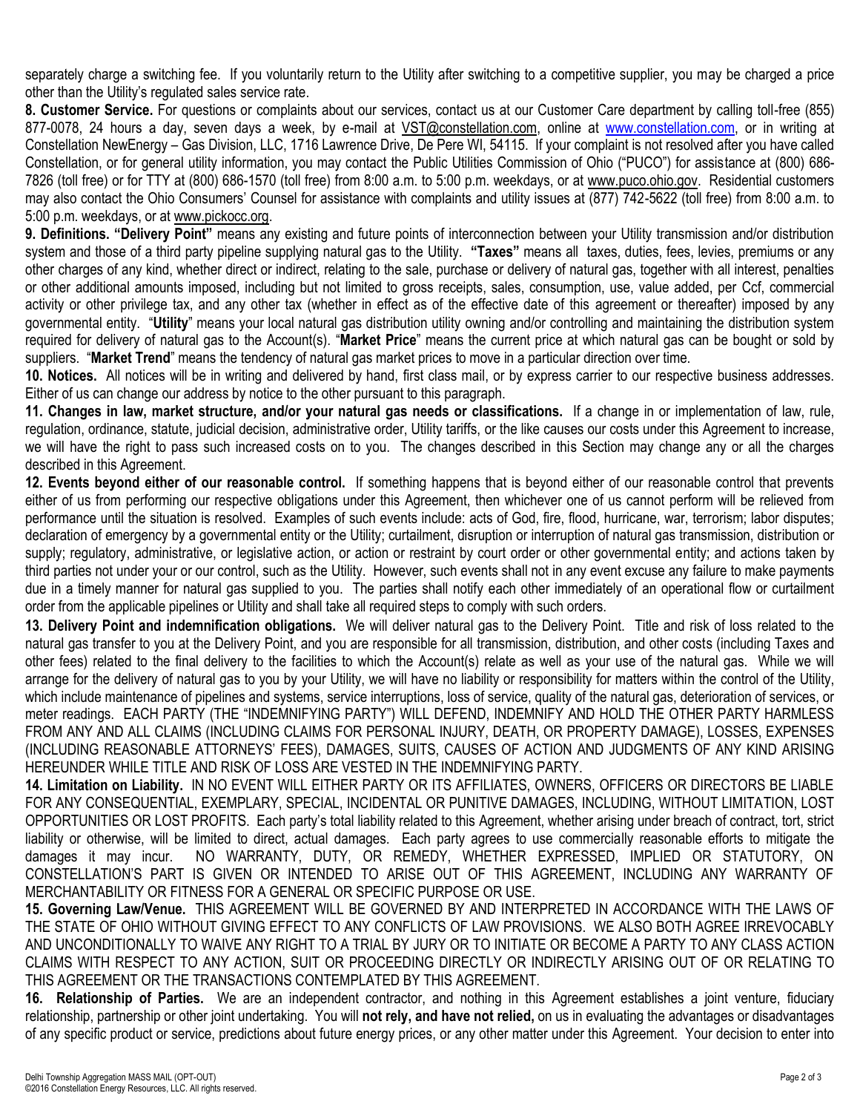separately charge a switching fee. If you voluntarily return to the Utility after switching to a competitive supplier, you may be charged a price other than the Utility's regulated sales service rate.

**8. Customer Service.** For questions or complaints about our services, contact us at our Customer Care department by calling toll-free (855) 877-0078, 24 hours a day, seven days a week, by e-mail at VST@constellation.com, online at [www.constellation.com,](file://///nas-lou-01/LOUShare/Vol1/Contracts/Customer%20Contracts%20and%20Tools/Governmental%20Aggregations/City%20of%20Green,%20OH%20(IEC)/2016%20T&C/www.constellation.com) or in writing at Constellation NewEnergy – Gas Division, LLC, 1716 Lawrence Drive, De Pere WI, 54115. If your complaint is not resolved after you have called Constellation, or for general utility information, you may contact the Public Utilities Commission of Ohio ("PUCO") for assistance at (800) 686- 7826 (toll free) or for TTY at (800) 686-1570 (toll free) from 8:00 a.m. to 5:00 p.m. weekdays, or at www.puco.ohio.gov. Residential customers may also contact the Ohio Consumers' Counsel for assistance with complaints and utility issues at (877) 742-5622 (toll free) from 8:00 a.m. to 5:00 p.m. weekdays, or at www.pickocc.org.

**9. Definitions. "Delivery Point"** means any existing and future points of interconnection between your Utility transmission and/or distribution system and those of a third party pipeline supplying natural gas to the Utility. **"Taxes"** means all taxes, duties, fees, levies, premiums or any other charges of any kind, whether direct or indirect, relating to the sale, purchase or delivery of natural gas, together with all interest, penalties or other additional amounts imposed, including but not limited to gross receipts, sales, consumption, use, value added, per Ccf, commercial activity or other privilege tax, and any other tax (whether in effect as of the effective date of this agreement or thereafter) imposed by any governmental entity. "**Utility**" means your local natural gas distribution utility owning and/or controlling and maintaining the distribution system required for delivery of natural gas to the Account(s). "**Market Price**" means the current price at which natural gas can be bought or sold by suppliers. "**Market Trend**" means the tendency of natural gas market prices to move in a particular direction over time.

**10. Notices.** All notices will be in writing and delivered by hand, first class mail, or by express carrier to our respective business addresses. Either of us can change our address by notice to the other pursuant to this paragraph.

**11. Changes in law, market structure, and/or your natural gas needs or classifications.** If a change in or implementation of law, rule, regulation, ordinance, statute, judicial decision, administrative order, Utility tariffs, or the like causes our costs under this Agreement to increase, we will have the right to pass such increased costs on to you. The changes described in this Section may change any or all the charges described in this Agreement.

**12. Events beyond either of our reasonable control.** If something happens that is beyond either of our reasonable control that prevents either of us from performing our respective obligations under this Agreement, then whichever one of us cannot perform will be relieved from performance until the situation is resolved. Examples of such events include: acts of God, fire, flood, hurricane, war, terrorism; labor disputes; declaration of emergency by a governmental entity or the Utility; curtailment, disruption or interruption of natural gas transmission, distribution or supply; regulatory, administrative, or legislative action, or action or restraint by court order or other governmental entity; and actions taken by third parties not under your or our control, such as the Utility. However, such events shall not in any event excuse any failure to make payments due in a timely manner for natural gas supplied to you. The parties shall notify each other immediately of an operational flow or curtailment order from the applicable pipelines or Utility and shall take all required steps to comply with such orders.

**13. Delivery Point and indemnification obligations.** We will deliver natural gas to the Delivery Point. Title and risk of loss related to the natural gas transfer to you at the Delivery Point, and you are responsible for all transmission, distribution, and other costs (including Taxes and other fees) related to the final delivery to the facilities to which the Account(s) relate as well as your use of the natural gas. While we will arrange for the delivery of natural gas to you by your Utility, we will have no liability or responsibility for matters within the control of the Utility, which include maintenance of pipelines and systems, service interruptions, loss of service, quality of the natural gas, deterioration of services, or meter readings. EACH PARTY (THE "INDEMNIFYING PARTY") WILL DEFEND, INDEMNIFY AND HOLD THE OTHER PARTY HARMLESS FROM ANY AND ALL CLAIMS (INCLUDING CLAIMS FOR PERSONAL INJURY, DEATH, OR PROPERTY DAMAGE), LOSSES, EXPENSES (INCLUDING REASONABLE ATTORNEYS' FEES), DAMAGES, SUITS, CAUSES OF ACTION AND JUDGMENTS OF ANY KIND ARISING HEREUNDER WHILE TITLE AND RISK OF LOSS ARE VESTED IN THE INDEMNIFYING PARTY.

**14. Limitation on Liability.** IN NO EVENT WILL EITHER PARTY OR ITS AFFILIATES, OWNERS, OFFICERS OR DIRECTORS BE LIABLE FOR ANY CONSEQUENTIAL, EXEMPLARY, SPECIAL, INCIDENTAL OR PUNITIVE DAMAGES, INCLUDING, WITHOUT LIMITATION, LOST OPPORTUNITIES OR LOST PROFITS. Each party's total liability related to this Agreement, whether arising under breach of contract, tort, strict liability or otherwise, will be limited to direct, actual damages. Each party agrees to use commercially reasonable efforts to mitigate the damages it may incur. NO WARRANTY, DUTY, OR REMEDY, WHETHER EXPRESSED, IMPLIED OR STATUTORY, ON CONSTELLATION'S PART IS GIVEN OR INTENDED TO ARISE OUT OF THIS AGREEMENT, INCLUDING ANY WARRANTY OF MERCHANTABILITY OR FITNESS FOR A GENERAL OR SPECIFIC PURPOSE OR USE.

**15. Governing Law/Venue.** THIS AGREEMENT WILL BE GOVERNED BY AND INTERPRETED IN ACCORDANCE WITH THE LAWS OF THE STATE OF OHIO WITHOUT GIVING EFFECT TO ANY CONFLICTS OF LAW PROVISIONS. WE ALSO BOTH AGREE IRREVOCABLY AND UNCONDITIONALLY TO WAIVE ANY RIGHT TO A TRIAL BY JURY OR TO INITIATE OR BECOME A PARTY TO ANY CLASS ACTION CLAIMS WITH RESPECT TO ANY ACTION, SUIT OR PROCEEDING DIRECTLY OR INDIRECTLY ARISING OUT OF OR RELATING TO THIS AGREEMENT OR THE TRANSACTIONS CONTEMPLATED BY THIS AGREEMENT.

**16. Relationship of Parties.** We are an independent contractor, and nothing in this Agreement establishes a joint venture, fiduciary relationship, partnership or other joint undertaking. You will **not rely, and have not relied,** on us in evaluating the advantages or disadvantages of any specific product or service, predictions about future energy prices, or any other matter under this Agreement. Your decision to enter into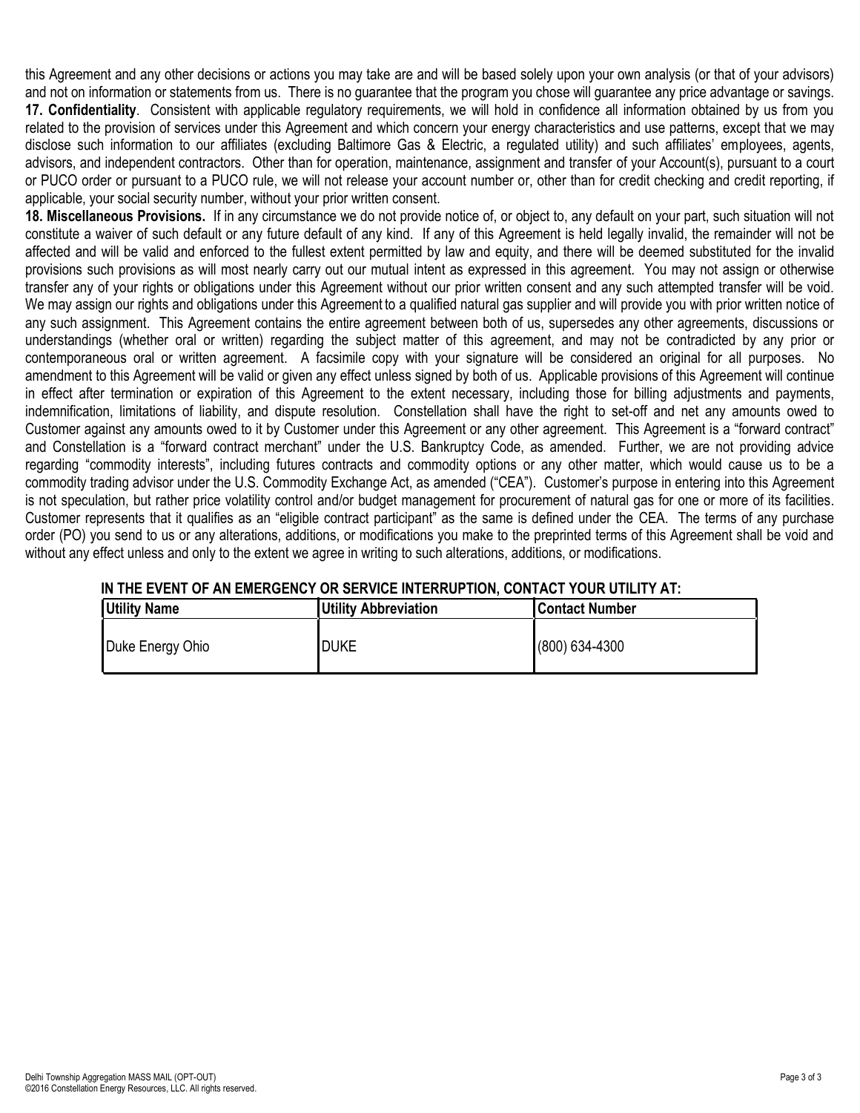this Agreement and any other decisions or actions you may take are and will be based solely upon your own analysis (or that of your advisors) and not on information or statements from us. There is no guarantee that the program you chose will guarantee any price advantage or savings. **17. Confidentiality**. Consistent with applicable regulatory requirements, we will hold in confidence all information obtained by us from you related to the provision of services under this Agreement and which concern your energy characteristics and use patterns, except that we may disclose such information to our affiliates (excluding Baltimore Gas & Electric, a regulated utility) and such affiliates' employees, agents, advisors, and independent contractors. Other than for operation, maintenance, assignment and transfer of your Account(s), pursuant to a court or PUCO order or pursuant to a PUCO rule, we will not release your account number or, other than for credit checking and credit reporting, if applicable, your social security number, without your prior written consent.

**18. Miscellaneous Provisions.** If in any circumstance we do not provide notice of, or object to, any default on your part, such situation will not constitute a waiver of such default or any future default of any kind. If any of this Agreement is held legally invalid, the remainder will not be affected and will be valid and enforced to the fullest extent permitted by law and equity, and there will be deemed substituted for the invalid provisions such provisions as will most nearly carry out our mutual intent as expressed in this agreement. You may not assign or otherwise transfer any of your rights or obligations under this Agreement without our prior written consent and any such attempted transfer will be void. We may assign our rights and obligations under this Agreement to a qualified natural gas supplier and will provide you with prior written notice of any such assignment. This Agreement contains the entire agreement between both of us, supersedes any other agreements, discussions or understandings (whether oral or written) regarding the subject matter of this agreement, and may not be contradicted by any prior or contemporaneous oral or written agreement. A facsimile copy with your signature will be considered an original for all purposes. No amendment to this Agreement will be valid or given any effect unless signed by both of us. Applicable provisions of this Agreement will continue in effect after termination or expiration of this Agreement to the extent necessary, including those for billing adjustments and payments, indemnification, limitations of liability, and dispute resolution. Constellation shall have the right to set-off and net any amounts owed to Customer against any amounts owed to it by Customer under this Agreement or any other agreement. This Agreement is a "forward contract" and Constellation is a "forward contract merchant" under the U.S. Bankruptcy Code, as amended. Further, we are not providing advice regarding "commodity interests", including futures contracts and commodity options or any other matter, which would cause us to be a commodity trading advisor under the U.S. Commodity Exchange Act, as amended ("CEA"). Customer's purpose in entering into this Agreement is not speculation, but rather price volatility control and/or budget management for procurement of natural gas for one or more of its facilities. Customer represents that it qualifies as an "eligible contract participant" as the same is defined under the CEA. The terms of any purchase order (PO) you send to us or any alterations, additions, or modifications you make to the preprinted terms of this Agreement shall be void and without any effect unless and only to the extent we agree in writing to such alterations, additions, or modifications.

| <b>Utility Name</b> | <b>Utility Abbreviation</b> | Contact Number |
|---------------------|-----------------------------|----------------|
| Duke Energy Ohio    | <b>DUKE</b>                 | (800) 634-4300 |

# **IN THE EVENT OF AN EMERGENCY OR SERVICE INTERRUPTION, CONTACT YOUR UTILITY AT:**